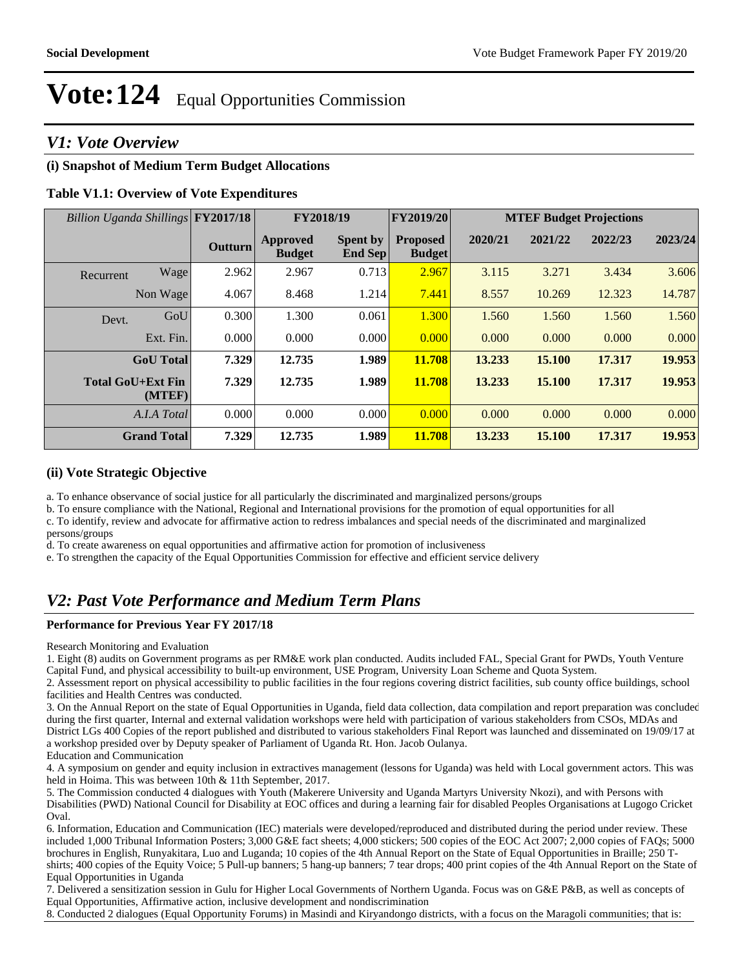### *V1: Vote Overview*

### **(i) Snapshot of Medium Term Budget Allocations**

### **Table V1.1: Overview of Vote Expenditures**

| Billion Uganda Shillings FY2017/18 |                    |                | FY2018/19                 |                                   | FY2019/20                        | <b>MTEF Budget Projections</b> |         |         |         |
|------------------------------------|--------------------|----------------|---------------------------|-----------------------------------|----------------------------------|--------------------------------|---------|---------|---------|
|                                    |                    | <b>Outturn</b> | Approved<br><b>Budget</b> | <b>Spent by</b><br><b>End Sep</b> | <b>Proposed</b><br><b>Budget</b> | 2020/21                        | 2021/22 | 2022/23 | 2023/24 |
| Recurrent                          | Wage               | 2.962          | 2.967                     | 0.713                             | 2.967                            | 3.115                          | 3.271   | 3.434   | 3.606   |
|                                    | Non Wage           | 4.067          | 8.468                     | 1.214                             | 7.441                            | 8.557                          | 10.269  | 12.323  | 14.787  |
| Devt.                              | GoU                | 0.300          | 1.300                     | 0.061                             | 1.300                            | 1.560                          | 1.560   | 1.560   | 1.560   |
|                                    | Ext. Fin.          | 0.000          | 0.000                     | 0.000                             | 0.000                            | 0.000                          | 0.000   | 0.000   | 0.000   |
|                                    | <b>GoU</b> Total   | 7.329          | 12.735                    | 1.989                             | 11.708                           | 13.233                         | 15.100  | 17.317  | 19.953  |
| <b>Total GoU+Ext Fin</b>           | (MTEF)             | 7.329          | 12.735                    | 1.989                             | 11.708                           | 13.233                         | 15.100  | 17.317  | 19.953  |
|                                    | A.I.A Total        | 0.000          | 0.000                     | 0.000                             | 0.000                            | 0.000                          | 0.000   | 0.000   | 0.000   |
|                                    | <b>Grand Total</b> | 7.329          | 12.735                    | 1.989                             | 11.708                           | 13.233                         | 15.100  | 17.317  | 19.953  |

### **(ii) Vote Strategic Objective**

a. To enhance observance of social justice for all particularly the discriminated and marginalized persons/groups

b. To ensure compliance with the National, Regional and International provisions for the promotion of equal opportunities for all

c. To identify, review and advocate for affirmative action to redress imbalances and special needs of the discriminated and marginalized persons/groups

d. To create awareness on equal opportunities and affirmative action for promotion of inclusiveness

e. To strengthen the capacity of the Equal Opportunities Commission for effective and efficient service delivery

### *V2: Past Vote Performance and Medium Term Plans*

### **Performance for Previous Year FY 2017/18**

Research Monitoring and Evaluation

1. Eight (8) audits on Government programs as per RM&E work plan conducted. Audits included FAL, Special Grant for PWDs, Youth Venture Capital Fund, and physical accessibility to built-up environment, USE Program, University Loan Scheme and Quota System.

2. Assessment report on physical accessibility to public facilities in the four regions covering district facilities, sub county office buildings, school facilities and Health Centres was conducted.

3. On the Annual Report on the state of Equal Opportunities in Uganda, field data collection, data compilation and report preparation was concluded during the first quarter, Internal and external validation workshops were held with participation of various stakeholders from CSOs, MDAs and District LGs 400 Copies of the report published and distributed to various stakeholders Final Report was launched and disseminated on 19/09/17 at a workshop presided over by Deputy speaker of Parliament of Uganda Rt. Hon. Jacob Oulanya.

Education and Communication

4. A symposium on gender and equity inclusion in extractives management (lessons for Uganda) was held with Local government actors. This was held in Hoima. This was between 10th & 11th September, 2017.

5. The Commission conducted 4 dialogues with Youth (Makerere University and Uganda Martyrs University Nkozi), and with Persons with Disabilities (PWD) National Council for Disability at EOC offices and during a learning fair for disabled Peoples Organisations at Lugogo Cricket Oval.

6. Information, Education and Communication (IEC) materials were developed/reproduced and distributed during the period under review. These included 1,000 Tribunal Information Posters; 3,000 G&E fact sheets; 4,000 stickers; 500 copies of the EOC Act 2007; 2,000 copies of FAQs; 5000 brochures in English, Runyakitara, Luo and Luganda; 10 copies of the 4th Annual Report on the State of Equal Opportunities in Braille; 250 Tshirts; 400 copies of the Equity Voice; 5 Pull-up banners; 5 hang-up banners; 7 tear drops; 400 print copies of the 4th Annual Report on the State of Equal Opportunities in Uganda

7. Delivered a sensitization session in Gulu for Higher Local Governments of Northern Uganda. Focus was on G&E P&B, as well as concepts of Equal Opportunities, Affirmative action, inclusive development and nondiscrimination

8. Conducted 2 dialogues (Equal Opportunity Forums) in Masindi and Kiryandongo districts, with a focus on the Maragoli communities; that is: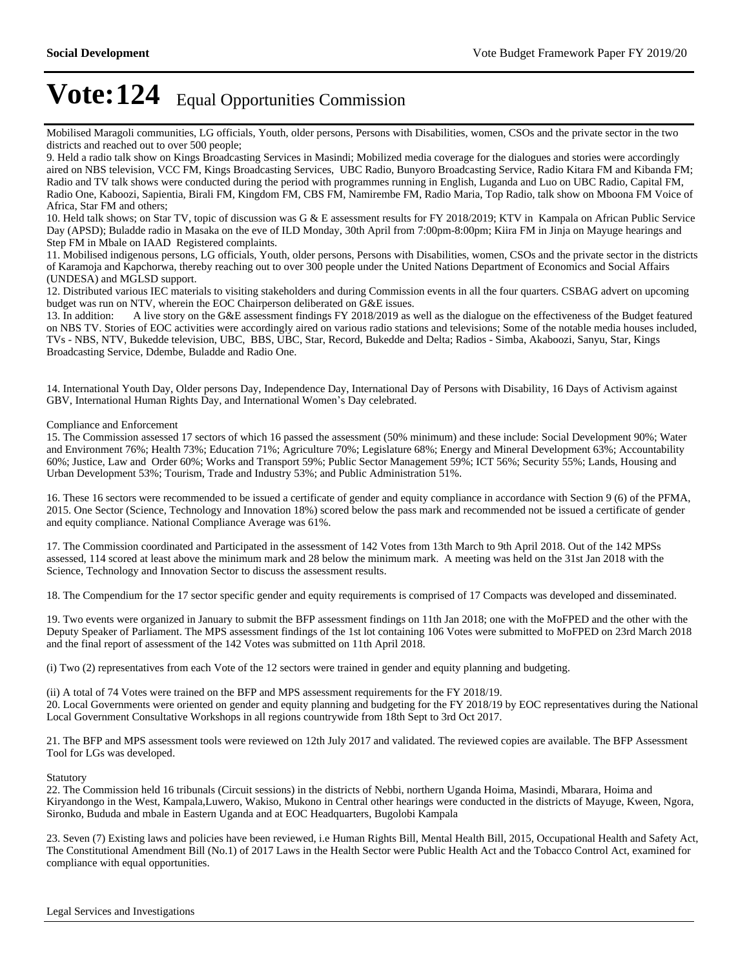Mobilised Maragoli communities, LG officials, Youth, older persons, Persons with Disabilities, women, CSOs and the private sector in the two districts and reached out to over 500 people;

9. Held a radio talk show on Kings Broadcasting Services in Masindi; Mobilized media coverage for the dialogues and stories were accordingly aired on NBS television, VCC FM, Kings Broadcasting Services, UBC Radio, Bunyoro Broadcasting Service, Radio Kitara FM and Kibanda FM; Radio and TV talk shows were conducted during the period with programmes running in English, Luganda and Luo on UBC Radio, Capital FM, Radio One, Kaboozi, Sapientia, Birali FM, Kingdom FM, CBS FM, Namirembe FM, Radio Maria, Top Radio, talk show on Mboona FM Voice of Africa, Star FM and others;

10. Held talk shows; on Star TV, topic of discussion was G & E assessment results for FY 2018/2019; KTV in Kampala on African Public Service Day (APSD); Buladde radio in Masaka on the eve of ILD Monday, 30th April from 7:00pm-8:00pm; Kiira FM in Jinja on Mayuge hearings and Step FM in Mbale on IAAD Registered complaints.

11. Mobilised indigenous persons, LG officials, Youth, older persons, Persons with Disabilities, women, CSOs and the private sector in the districts of Karamoja and Kapchorwa, thereby reaching out to over 300 people under the United Nations Department of Economics and Social Affairs (UNDESA) and MGLSD support.

12. Distributed various IEC materials to visiting stakeholders and during Commission events in all the four quarters. CSBAG advert on upcoming budget was run on NTV, wherein the EOC Chairperson deliberated on G&E issues.

13. In addition: A live story on the G&E assessment findings FY 2018/2019 as well as the dialogue on the effectiveness of the Budget featured on NBS TV. Stories of EOC activities were accordingly aired on various radio stations and televisions; Some of the notable media houses included, TVs - NBS, NTV, Bukedde television, UBC, BBS, UBC, Star, Record, Bukedde and Delta; Radios - Simba, Akaboozi, Sanyu, Star, Kings Broadcasting Service, Ddembe, Buladde and Radio One.

14. International Youth Day, Older persons Day, Independence Day, International Day of Persons with Disability, 16 Days of Activism against GBV, International Human Rights Day, and International Women's Day celebrated.

Compliance and Enforcement

15. The Commission assessed 17 sectors of which 16 passed the assessment (50% minimum) and these include: Social Development 90%; Water and Environment 76%; Health 73%; Education 71%; Agriculture 70%; Legislature 68%; Energy and Mineral Development 63%; Accountability 60%; Justice, Law and Order 60%; Works and Transport 59%; Public Sector Management 59%; ICT 56%; Security 55%; Lands, Housing and Urban Development 53%; Tourism, Trade and Industry 53%; and Public Administration 51%.

16. These 16 sectors were recommended to be issued a certificate of gender and equity compliance in accordance with Section 9 (6) of the PFMA, 2015. One Sector (Science, Technology and Innovation 18%) scored below the pass mark and recommended not be issued a certificate of gender and equity compliance. National Compliance Average was 61%.

17. The Commission coordinated and Participated in the assessment of 142 Votes from 13th March to 9th April 2018. Out of the 142 MPSs assessed, 114 scored at least above the minimum mark and 28 below the minimum mark. A meeting was held on the 31st Jan 2018 with the Science, Technology and Innovation Sector to discuss the assessment results.

18. The Compendium for the 17 sector specific gender and equity requirements is comprised of 17 Compacts was developed and disseminated.

19. Two events were organized in January to submit the BFP assessment findings on 11th Jan 2018; one with the MoFPED and the other with the Deputy Speaker of Parliament. The MPS assessment findings of the 1st lot containing 106 Votes were submitted to MoFPED on 23rd March 2018 and the final report of assessment of the 142 Votes was submitted on 11th April 2018.

(i) Two (2) representatives from each Vote of the 12 sectors were trained in gender and equity planning and budgeting.

(ii) A total of 74 Votes were trained on the BFP and MPS assessment requirements for the FY 2018/19. 20. Local Governments were oriented on gender and equity planning and budgeting for the FY 2018/19 by EOC representatives during the National Local Government Consultative Workshops in all regions countrywide from 18th Sept to 3rd Oct 2017.

21. The BFP and MPS assessment tools were reviewed on 12th July 2017 and validated. The reviewed copies are available. The BFP Assessment Tool for LGs was developed.

#### Statutory

22. The Commission held 16 tribunals (Circuit sessions) in the districts of Nebbi, northern Uganda Hoima, Masindi, Mbarara, Hoima and Kiryandongo in the West, Kampala,Luwero, Wakiso, Mukono in Central other hearings were conducted in the districts of Mayuge, Kween, Ngora, Sironko, Bududa and mbale in Eastern Uganda and at EOC Headquarters, Bugolobi Kampala

23. Seven (7) Existing laws and policies have been reviewed, i.e Human Rights Bill, Mental Health Bill, 2015, Occupational Health and Safety Act, The Constitutional Amendment Bill (No.1) of 2017 Laws in the Health Sector were Public Health Act and the Tobacco Control Act, examined for compliance with equal opportunities.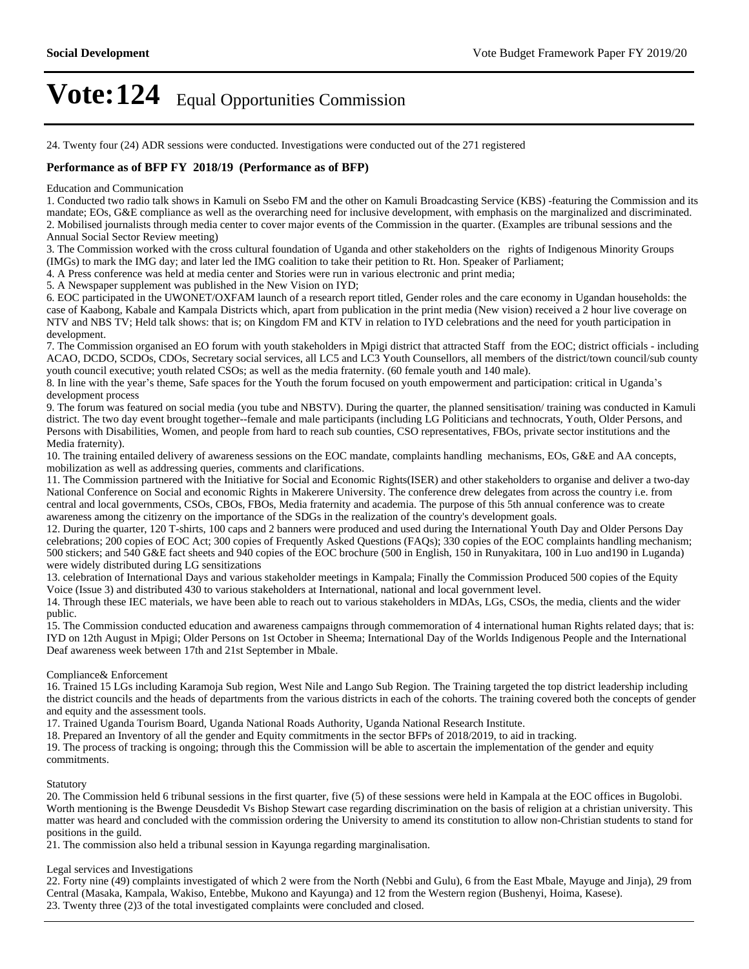24. Twenty four (24) ADR sessions were conducted. Investigations were conducted out of the 271 registered

#### **Performance as of BFP FY 2018/19 (Performance as of BFP)**

#### Education and Communication

1. Conducted two radio talk shows in Kamuli on Ssebo FM and the other on Kamuli Broadcasting Service (KBS) -featuring the Commission and its mandate; EOs, G&E compliance as well as the overarching need for inclusive development, with emphasis on the marginalized and discriminated. 2. Mobilised journalists through media center to cover major events of the Commission in the quarter. (Examples are tribunal sessions and the Annual Social Sector Review meeting)

3. The Commission worked with the cross cultural foundation of Uganda and other stakeholders on the rights of Indigenous Minority Groups (IMGs) to mark the IMG day; and later led the IMG coalition to take their petition to Rt. Hon. Speaker of Parliament;

4. A Press conference was held at media center and Stories were run in various electronic and print media;

5. A Newspaper supplement was published in the New Vision on IYD;

6. EOC participated in the UWONET/OXFAM launch of a research report titled, Gender roles and the care economy in Ugandan households: the case of Kaabong, Kabale and Kampala Districts which, apart from publication in the print media (New vision) received a 2 hour live coverage on NTV and NBS TV; Held talk shows: that is; on Kingdom FM and KTV in relation to IYD celebrations and the need for youth participation in development.

7. The Commission organised an EO forum with youth stakeholders in Mpigi district that attracted Staff from the EOC; district officials - including ACAO, DCDO, SCDOs, CDOs, Secretary social services, all LC5 and LC3 Youth Counsellors, all members of the district/town council/sub county youth council executive; youth related CSOs; as well as the media fraternity. (60 female youth and 140 male).

8. In line with the year's theme, Safe spaces for the Youth the forum focused on youth empowerment and participation: critical in Uganda's development process

9. The forum was featured on social media (you tube and NBSTV). During the quarter, the planned sensitisation/ training was conducted in Kamuli district. The two day event brought together--female and male participants (including LG Politicians and technocrats, Youth, Older Persons, and Persons with Disabilities, Women, and people from hard to reach sub counties, CSO representatives, FBOs, private sector institutions and the Media fraternity).

10. The training entailed delivery of awareness sessions on the EOC mandate, complaints handling mechanisms, EOs, G&E and AA concepts, mobilization as well as addressing queries, comments and clarifications.

11. The Commission partnered with the Initiative for Social and Economic Rights(ISER) and other stakeholders to organise and deliver a two-day National Conference on Social and economic Rights in Makerere University. The conference drew delegates from across the country i.e. from central and local governments, CSOs, CBOs, FBOs, Media fraternity and academia. The purpose of this 5th annual conference was to create awareness among the citizenry on the importance of the SDGs in the realization of the country's development goals.

12. During the quarter, 120 T-shirts, 100 caps and 2 banners were produced and used during the International Youth Day and Older Persons Day celebrations; 200 copies of EOC Act; 300 copies of Frequently Asked Questions (FAQs); 330 copies of the EOC complaints handling mechanism; 500 stickers; and 540 G&E fact sheets and 940 copies of the EOC brochure (500 in English, 150 in Runyakitara, 100 in Luo and190 in Luganda) were widely distributed during LG sensitizations

13. celebration of International Days and various stakeholder meetings in Kampala; Finally the Commission Produced 500 copies of the Equity Voice (Issue 3) and distributed 430 to various stakeholders at International, national and local government level.

14. Through these IEC materials, we have been able to reach out to various stakeholders in MDAs, LGs, CSOs, the media, clients and the wider public.

15. The Commission conducted education and awareness campaigns through commemoration of 4 international human Rights related days; that is: IYD on 12th August in Mpigi; Older Persons on 1st October in Sheema; International Day of the Worlds Indigenous People and the International Deaf awareness week between 17th and 21st September in Mbale.

#### Compliance& Enforcement

16. Trained 15 LGs including Karamoja Sub region, West Nile and Lango Sub Region. The Training targeted the top district leadership including the district councils and the heads of departments from the various districts in each of the cohorts. The training covered both the concepts of gender and equity and the assessment tools.

17. Trained Uganda Tourism Board, Uganda National Roads Authority, Uganda National Research Institute.

18. Prepared an Inventory of all the gender and Equity commitments in the sector BFPs of 2018/2019, to aid in tracking.

19. The process of tracking is ongoing; through this the Commission will be able to ascertain the implementation of the gender and equity commitments.

#### Statutory

20. The Commission held 6 tribunal sessions in the first quarter, five (5) of these sessions were held in Kampala at the EOC offices in Bugolobi. Worth mentioning is the Bwenge Deusdedit Vs Bishop Stewart case regarding discrimination on the basis of religion at a christian university. This matter was heard and concluded with the commission ordering the University to amend its constitution to allow non-Christian students to stand for positions in the guild.

21. The commission also held a tribunal session in Kayunga regarding marginalisation.

#### Legal services and Investigations

22. Forty nine (49) complaints investigated of which 2 were from the North (Nebbi and Gulu), 6 from the East Mbale, Mayuge and Jinja), 29 from Central (Masaka, Kampala, Wakiso, Entebbe, Mukono and Kayunga) and 12 from the Western region (Bushenyi, Hoima, Kasese). 23. Twenty three (2)3 of the total investigated complaints were concluded and closed.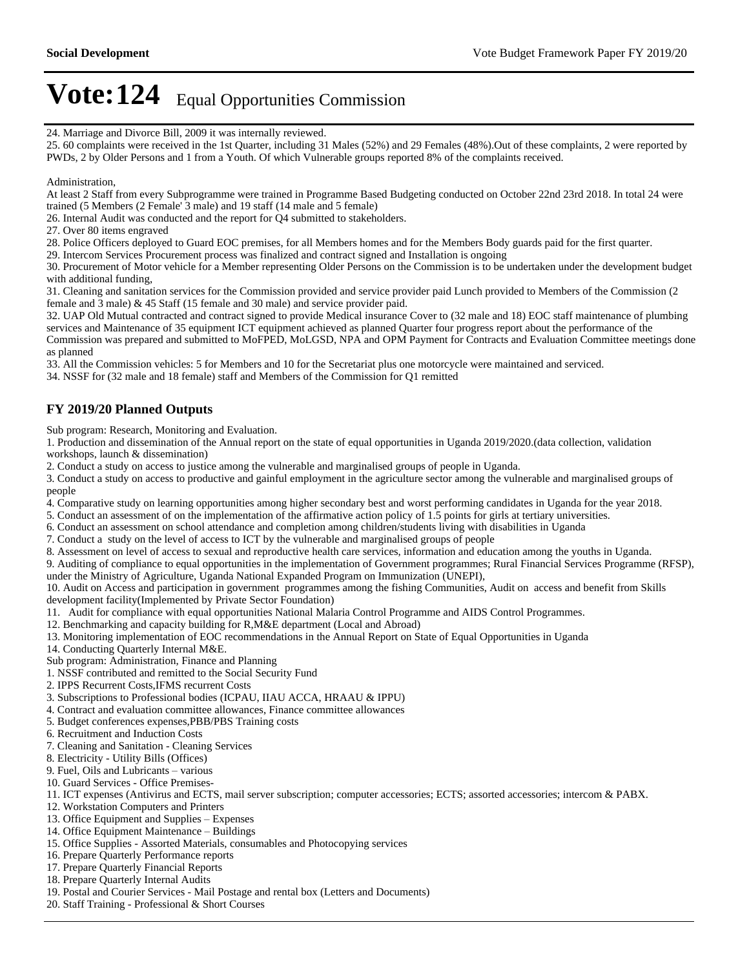24. Marriage and Divorce Bill, 2009 it was internally reviewed.

25. 60 complaints were received in the 1st Quarter, including 31 Males (52%) and 29 Females (48%).Out of these complaints, 2 were reported by PWDs, 2 by Older Persons and 1 from a Youth. Of which Vulnerable groups reported 8% of the complaints received.

#### Administration,

At least 2 Staff from every Subprogramme were trained in Programme Based Budgeting conducted on October 22nd 23rd 2018. In total 24 were trained (5 Members (2 Female' 3 male) and 19 staff (14 male and 5 female)

26. Internal Audit was conducted and the report for Q4 submitted to stakeholders.

27. Over 80 items engraved

28. Police Officers deployed to Guard EOC premises, for all Members homes and for the Members Body guards paid for the first quarter.

29. Intercom Services Procurement process was finalized and contract signed and Installation is ongoing

30. Procurement of Motor vehicle for a Member representing Older Persons on the Commission is to be undertaken under the development budget with additional funding,

31. Cleaning and sanitation services for the Commission provided and service provider paid Lunch provided to Members of the Commission (2 female and 3 male) & 45 Staff (15 female and 30 male) and service provider paid.

32. UAP Old Mutual contracted and contract signed to provide Medical insurance Cover to (32 male and 18) EOC staff maintenance of plumbing services and Maintenance of 35 equipment ICT equipment achieved as planned Quarter four progress report about the performance of the Commission was prepared and submitted to MoFPED, MoLGSD, NPA and OPM Payment for Contracts and Evaluation Committee meetings done as planned

33. All the Commission vehicles: 5 for Members and 10 for the Secretariat plus one motorcycle were maintained and serviced.

34. NSSF for (32 male and 18 female) staff and Members of the Commission for Q1 remitted

### **FY 2019/20 Planned Outputs**

Sub program: Research, Monitoring and Evaluation.

1. Production and dissemination of the Annual report on the state of equal opportunities in Uganda 2019/2020.(data collection, validation workshops, launch & dissemination)

2. Conduct a study on access to justice among the vulnerable and marginalised groups of people in Uganda.

3. Conduct a study on access to productive and gainful employment in the agriculture sector among the vulnerable and marginalised groups of people

- 4. Comparative study on learning opportunities among higher secondary best and worst performing candidates in Uganda for the year 2018.
- 5. Conduct an assessment of on the implementation of the affirmative action policy of 1.5 points for girls at tertiary universities.
- 6. Conduct an assessment on school attendance and completion among children/students living with disabilities in Uganda

7. Conduct a study on the level of access to ICT by the vulnerable and marginalised groups of people

8. Assessment on level of access to sexual and reproductive health care services, information and education among the youths in Uganda.

9. Auditing of compliance to equal opportunities in the implementation of Government programmes; Rural Financial Services Programme (RFSP), under the Ministry of Agriculture, Uganda National Expanded Program on Immunization (UNEPI),

10. Audit on Access and participation in government programmes among the fishing Communities, Audit on access and benefit from Skills development facility(Implemented by Private Sector Foundation)

11. Audit for compliance with equal opportunities National Malaria Control Programme and AIDS Control Programmes.

- 12. Benchmarking and capacity building for R,M&E department (Local and Abroad)
- 13. Monitoring implementation of EOC recommendations in the Annual Report on State of Equal Opportunities in Uganda

14. Conducting Quarterly Internal M&E.

Sub program: Administration, Finance and Planning

1. NSSF contributed and remitted to the Social Security Fund

2. IPPS Recurrent Costs,IFMS recurrent Costs

3. Subscriptions to Professional bodies (ICPAU, IIAU ACCA, HRAAU & IPPU)

- 4. Contract and evaluation committee allowances, Finance committee allowances
- 5. Budget conferences expenses,PBB/PBS Training costs
- 6. Recruitment and Induction Costs
- 7. Cleaning and Sanitation Cleaning Services
- 8. Electricity Utility Bills (Offices)
- 9. Fuel, Oils and Lubricants various
- 10. Guard Services Office Premises-
- 11. ICT expenses (Antivirus and ECTS, mail server subscription; computer accessories; ECTS; assorted accessories; intercom & PABX.
- 12. Workstation Computers and Printers
- 13. Office Equipment and Supplies Expenses
- 14. Office Equipment Maintenance Buildings
- 15. Office Supplies Assorted Materials, consumables and Photocopying services
- 16. Prepare Quarterly Performance reports
- 17. Prepare Quarterly Financial Reports
- 18. Prepare Quarterly Internal Audits
- 19. Postal and Courier Services Mail Postage and rental box (Letters and Documents)
- 20. Staff Training Professional & Short Courses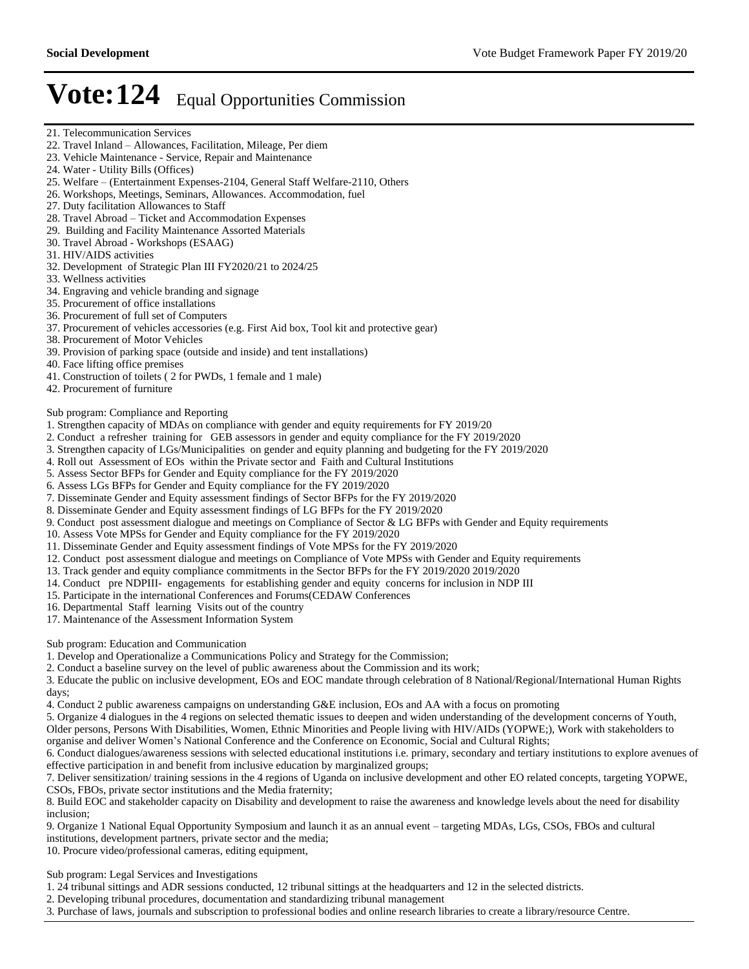- 28. Travel Abroad Ticket and Accommodation Expenses
- 29. Building and Facility Maintenance Assorted Materials
- 30. Travel Abroad Workshops (ESAAG)
- 31. HIV/AIDS activities
- 32. Development of Strategic Plan III FY2020/21 to 2024/25
- 33. Wellness activities
- 34. Engraving and vehicle branding and signage
- 35. Procurement of office installations
- 36. Procurement of full set of Computers
- 37. Procurement of vehicles accessories (e.g. First Aid box, Tool kit and protective gear)
- 38. Procurement of Motor Vehicles
- 39. Provision of parking space (outside and inside) and tent installations)
- 40. Face lifting office premises
- 41. Construction of toilets ( 2 for PWDs, 1 female and 1 male)
- 42. Procurement of furniture

Sub program: Compliance and Reporting

- 1. Strengthen capacity of MDAs on compliance with gender and equity requirements for FY 2019/20
- 2. Conduct a refresher training for GEB assessors in gender and equity compliance for the FY 2019/2020
- 3. Strengthen capacity of LGs/Municipalities on gender and equity planning and budgeting for the FY 2019/2020
- 4. Roll out Assessment of EOs within the Private sector and Faith and Cultural Institutions
- 5. Assess Sector BFPs for Gender and Equity compliance for the FY 2019/2020
- 6. Assess LGs BFPs for Gender and Equity compliance for the FY 2019/2020
- 7. Disseminate Gender and Equity assessment findings of Sector BFPs for the FY 2019/2020
- 8. Disseminate Gender and Equity assessment findings of LG BFPs for the FY 2019/2020
- 9. Conduct post assessment dialogue and meetings on Compliance of Sector & LG BFPs with Gender and Equity requirements
- 10. Assess Vote MPSs for Gender and Equity compliance for the FY 2019/2020
- 11. Disseminate Gender and Equity assessment findings of Vote MPSs for the FY 2019/2020
- 12. Conduct post assessment dialogue and meetings on Compliance of Vote MPSs with Gender and Equity requirements
- 13. Track gender and equity compliance commitments in the Sector BFPs for the FY 2019/2020 2019/2020
- 14. Conduct pre NDPIII- engagements for establishing gender and equity concerns for inclusion in NDP III
- 15. Participate in the international Conferences and Forums(CEDAW Conferences
- 16. Departmental Staff learning Visits out of the country
- 17. Maintenance of the Assessment Information System

Sub program: Education and Communication

1. Develop and Operationalize a Communications Policy and Strategy for the Commission;

2. Conduct a baseline survey on the level of public awareness about the Commission and its work;

3. Educate the public on inclusive development, EOs and EOC mandate through celebration of 8 National/Regional/International Human Rights days;

4. Conduct 2 public awareness campaigns on understanding G&E inclusion, EOs and AA with a focus on promoting

5. Organize 4 dialogues in the 4 regions on selected thematic issues to deepen and widen understanding of the development concerns of Youth, Older persons, Persons With Disabilities, Women, Ethnic Minorities and People living with HIV/AIDs (YOPWE;), Work with stakeholders to

organise and deliver Women's National Conference and the Conference on Economic, Social and Cultural Rights; 6. Conduct dialogues/awareness sessions with selected educational institutions i.e. primary, secondary and tertiary institutions to explore avenues of effective participation in and benefit from inclusive education by marginalized groups;

7. Deliver sensitization/ training sessions in the 4 regions of Uganda on inclusive development and other EO related concepts, targeting YOPWE, CSOs, FBOs, private sector institutions and the Media fraternity;

8. Build EOC and stakeholder capacity on Disability and development to raise the awareness and knowledge levels about the need for disability inclusion;

9. Organize 1 National Equal Opportunity Symposium and launch it as an annual event – targeting MDAs, LGs, CSOs, FBOs and cultural institutions, development partners, private sector and the media;

10. Procure video/professional cameras, editing equipment,

Sub program: Legal Services and Investigations

1. 24 tribunal sittings and ADR sessions conducted, 12 tribunal sittings at the headquarters and 12 in the selected districts.

2. Developing tribunal procedures, documentation and standardizing tribunal management

3. Purchase of laws, journals and subscription to professional bodies and online research libraries to create a library/resource Centre.

<sup>21.</sup> Telecommunication Services

<sup>22.</sup> Travel Inland - Allowances, Facilitation, Mileage, Per diem

<sup>23.</sup> Vehicle Maintenance - Service, Repair and Maintenance

<sup>24.</sup> Water - Utility Bills (Offices)

<sup>25.</sup> Welfare - (Entertainment Expenses-2104, General Staff Welfare-2110, Others

<sup>26.</sup> Workshops, Meetings, Seminars, Allowances. Accommodation, fuel

<sup>27.</sup> Duty facilitation Allowances to Staff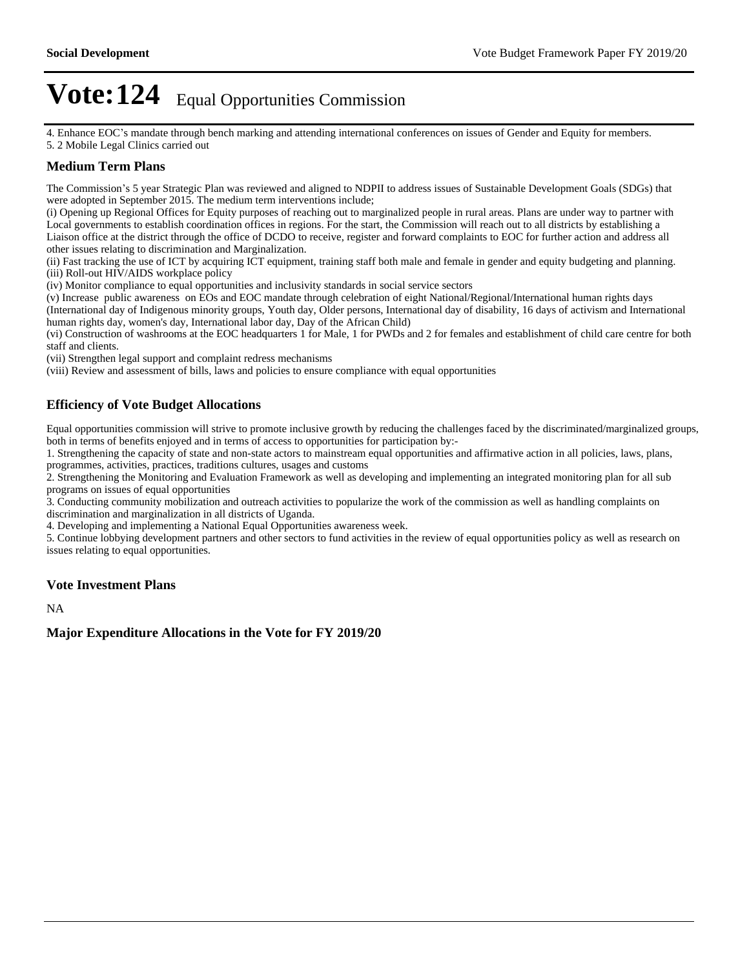4. Enhance EOC's mandate through bench marking and attending international conferences on issues of Gender and Equity for members. 5. 2 Mobile Legal Clinics carried out

### **Medium Term Plans**

The Commission's 5 year Strategic Plan was reviewed and aligned to NDPII to address issues of Sustainable Development Goals (SDGs) that were adopted in September 2015. The medium term interventions include;

(i) Opening up Regional Offices for Equity purposes of reaching out to marginalized people in rural areas. Plans are under way to partner with Local governments to establish coordination offices in regions. For the start, the Commission will reach out to all districts by establishing a Liaison office at the district through the office of DCDO to receive, register and forward complaints to EOC for further action and address all other issues relating to discrimination and Marginalization.

(ii) Fast tracking the use of ICT by acquiring ICT equipment, training staff both male and female in gender and equity budgeting and planning. (iii) Roll-out HIV/AIDS workplace policy

(iv) Monitor compliance to equal opportunities and inclusivity standards in social service sectors

(v) Increase public awareness on EOs and EOC mandate through celebration of eight National/Regional/International human rights days (International day of Indigenous minority groups, Youth day, Older persons, International day of disability, 16 days of activism and International human rights day, women's day, International labor day, Day of the African Child)

(vi) Construction of washrooms at the EOC headquarters 1 for Male, 1 for PWDs and 2 for females and establishment of child care centre for both staff and clients.

(vii) Strengthen legal support and complaint redress mechanisms

(viii) Review and assessment of bills, laws and policies to ensure compliance with equal opportunities

### **Efficiency of Vote Budget Allocations**

Equal opportunities commission will strive to promote inclusive growth by reducing the challenges faced by the discriminated/marginalized groups, both in terms of benefits enjoyed and in terms of access to opportunities for participation by:-

1. Strengthening the capacity of state and non-state actors to mainstream equal opportunities and affirmative action in all policies, laws, plans, programmes, activities, practices, traditions cultures, usages and customs

2. Strengthening the Monitoring and Evaluation Framework as well as developing and implementing an integrated monitoring plan for all sub programs on issues of equal opportunities

3. Conducting community mobilization and outreach activities to popularize the work of the commission as well as handling complaints on discrimination and marginalization in all districts of Uganda.

4. Developing and implementing a National Equal Opportunities awareness week.

5. Continue lobbying development partners and other sectors to fund activities in the review of equal opportunities policy as well as research on issues relating to equal opportunities.

#### **Vote Investment Plans**

NA

**Major Expenditure Allocations in the Vote for FY 2019/20**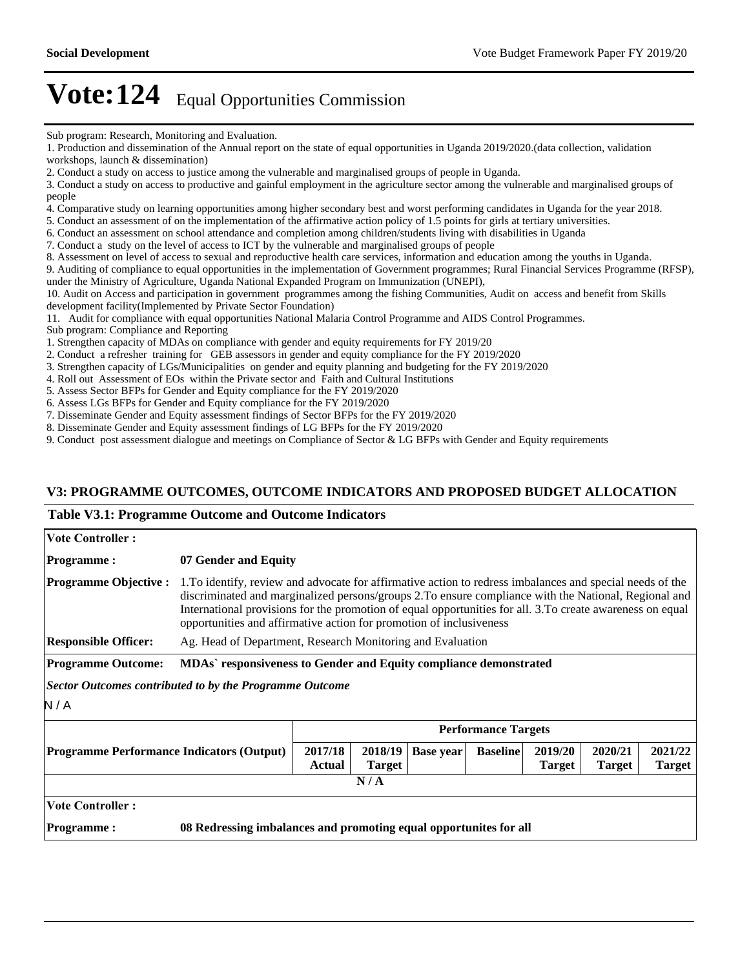Sub program: Research, Monitoring and Evaluation.

3. Conduct a study on access to productive and gainful employment in the agriculture sector among the vulnerable and marginalised groups of people

4. Comparative study on learning opportunities among higher secondary best and worst performing candidates in Uganda for the year 2018.

5. Conduct an assessment of on the implementation of the affirmative action policy of 1.5 points for girls at tertiary universities.

- 6. Conduct an assessment on school attendance and completion among children/students living with disabilities in Uganda
- 7. Conduct a study on the level of access to ICT by the vulnerable and marginalised groups of people
- 8. Assessment on level of access to sexual and reproductive health care services, information and education among the youths in Uganda.

9. Auditing of compliance to equal opportunities in the implementation of Government programmes; Rural Financial Services Programme (RFSP), under the Ministry of Agriculture, Uganda National Expanded Program on Immunization (UNEPI),

10. Audit on Access and participation in government programmes among the fishing Communities, Audit on access and benefit from Skills development facility(Implemented by Private Sector Foundation)

11. Audit for compliance with equal opportunities National Malaria Control Programme and AIDS Control Programmes.

Sub program: Compliance and Reporting

1. Strengthen capacity of MDAs on compliance with gender and equity requirements for FY 2019/20

- 2. Conduct a refresher training for GEB assessors in gender and equity compliance for the FY 2019/2020
- 3. Strengthen capacity of LGs/Municipalities on gender and equity planning and budgeting for the FY 2019/2020
- 4. Roll out Assessment of EOs within the Private sector and Faith and Cultural Institutions
- 5. Assess Sector BFPs for Gender and Equity compliance for the FY 2019/2020
- 6. Assess LGs BFPs for Gender and Equity compliance for the FY 2019/2020
- 7. Disseminate Gender and Equity assessment findings of Sector BFPs for the FY 2019/2020
- 8. Disseminate Gender and Equity assessment findings of LG BFPs for the FY 2019/2020

9. Conduct post assessment dialogue and meetings on Compliance of Sector & LG BFPs with Gender and Equity requirements

### **V3: PROGRAMME OUTCOMES, OUTCOME INDICATORS AND PROPOSED BUDGET ALLOCATION**

#### **Table V3.1: Programme Outcome and Outcome Indicators**

| <b>Vote Controller:</b>                                                                |                                                                                                                                                                                                                                                                                                                                                                                                        |                          |                          |                  |                            |                          |                          |                          |
|----------------------------------------------------------------------------------------|--------------------------------------------------------------------------------------------------------------------------------------------------------------------------------------------------------------------------------------------------------------------------------------------------------------------------------------------------------------------------------------------------------|--------------------------|--------------------------|------------------|----------------------------|--------------------------|--------------------------|--------------------------|
| <b>Programme:</b>                                                                      | 07 Gender and Equity                                                                                                                                                                                                                                                                                                                                                                                   |                          |                          |                  |                            |                          |                          |                          |
| <b>Programme Objective:</b>                                                            | 1. To identify, review and advocate for affirmative action to redress imbalances and special needs of the<br>discriminated and marginalized persons/groups 2.To ensure compliance with the National, Regional and<br>International provisions for the promotion of equal opportunities for all. 3. To create awareness on equal<br>opportunities and affirmative action for promotion of inclusiveness |                          |                          |                  |                            |                          |                          |                          |
| <b>Responsible Officer:</b>                                                            | Ag. Head of Department, Research Monitoring and Evaluation                                                                                                                                                                                                                                                                                                                                             |                          |                          |                  |                            |                          |                          |                          |
| <b>Programme Outcome:</b>                                                              | MDAs' responsiveness to Gender and Equity compliance demonstrated                                                                                                                                                                                                                                                                                                                                      |                          |                          |                  |                            |                          |                          |                          |
| Sector Outcomes contributed to by the Programme Outcome                                |                                                                                                                                                                                                                                                                                                                                                                                                        |                          |                          |                  |                            |                          |                          |                          |
| N/A                                                                                    |                                                                                                                                                                                                                                                                                                                                                                                                        |                          |                          |                  |                            |                          |                          |                          |
|                                                                                        |                                                                                                                                                                                                                                                                                                                                                                                                        |                          |                          |                  | <b>Performance Targets</b> |                          |                          |                          |
| <b>Programme Performance Indicators (Output)</b>                                       |                                                                                                                                                                                                                                                                                                                                                                                                        | 2017/18<br><b>Actual</b> | 2018/19<br><b>Target</b> | <b>Base year</b> | <b>Baseline</b>            | 2019/20<br><b>Target</b> | 2020/21<br><b>Target</b> | 2021/22<br><b>Target</b> |
| N/A                                                                                    |                                                                                                                                                                                                                                                                                                                                                                                                        |                          |                          |                  |                            |                          |                          |                          |
| <b>Vote Controller:</b>                                                                |                                                                                                                                                                                                                                                                                                                                                                                                        |                          |                          |                  |                            |                          |                          |                          |
| 08 Redressing imbalances and promoting equal opportunites for all<br><b>Programme:</b> |                                                                                                                                                                                                                                                                                                                                                                                                        |                          |                          |                  |                            |                          |                          |                          |

<sup>1.</sup> Production and dissemination of the Annual report on the state of equal opportunities in Uganda 2019/2020.(data collection, validation workshops, launch & dissemination)

<sup>2.</sup> Conduct a study on access to justice among the vulnerable and marginalised groups of people in Uganda.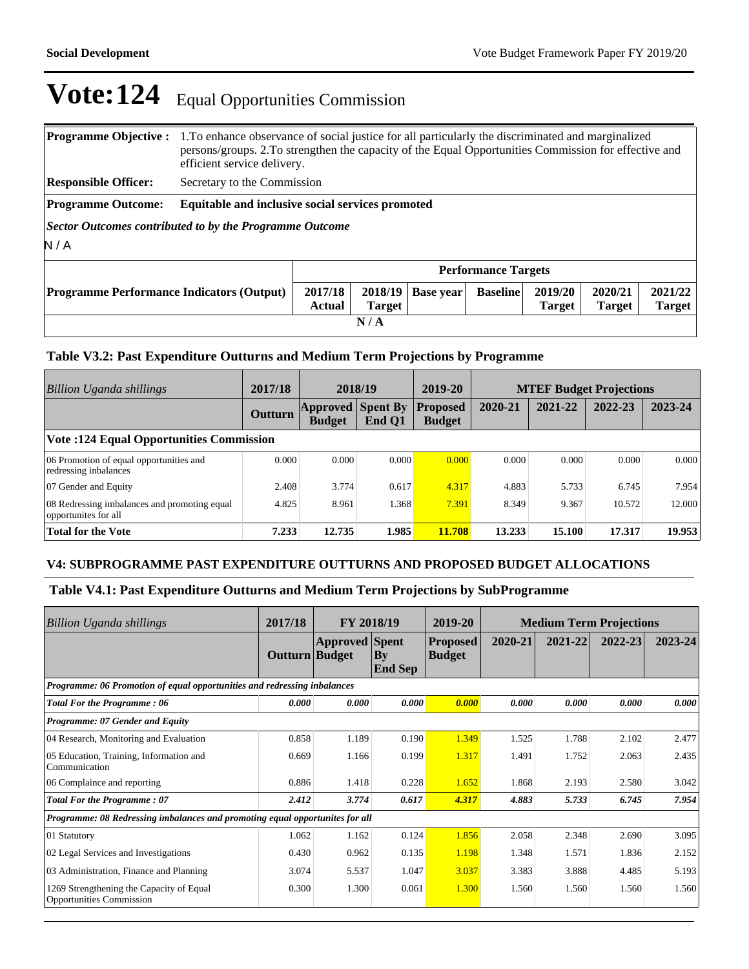|                                                         | <b>Programme Objective :</b> 1. To enhance observance of social justice for all particularly the discriminated and marginalized<br>persons/groups. 2. To strengthen the capacity of the Equal Opportunities Commission for effective and<br>efficient service delivery. |                             |                          |                  |                 |                          |                          |                          |
|---------------------------------------------------------|-------------------------------------------------------------------------------------------------------------------------------------------------------------------------------------------------------------------------------------------------------------------------|-----------------------------|--------------------------|------------------|-----------------|--------------------------|--------------------------|--------------------------|
| <b>Responsible Officer:</b>                             |                                                                                                                                                                                                                                                                         | Secretary to the Commission |                          |                  |                 |                          |                          |                          |
| <b>Programme Outcome:</b>                               | Equitable and inclusive social services promoted                                                                                                                                                                                                                        |                             |                          |                  |                 |                          |                          |                          |
| Sector Outcomes contributed to by the Programme Outcome |                                                                                                                                                                                                                                                                         |                             |                          |                  |                 |                          |                          |                          |
| N/A                                                     |                                                                                                                                                                                                                                                                         |                             |                          |                  |                 |                          |                          |                          |
|                                                         | <b>Performance Targets</b>                                                                                                                                                                                                                                              |                             |                          |                  |                 |                          |                          |                          |
| <b>Programme Performance Indicators (Output)</b>        |                                                                                                                                                                                                                                                                         | 2017/18<br>Actual           | 2018/19<br><b>Target</b> | <b>Base year</b> | <b>Baseline</b> | 2019/20<br><b>Target</b> | 2020/21<br><b>Target</b> | 2021/22<br><b>Target</b> |
| N/A                                                     |                                                                                                                                                                                                                                                                         |                             |                          |                  |                 |                          |                          |                          |

### **Table V3.2: Past Expenditure Outturns and Medium Term Projections by Programme**

| Billion Uganda shillings                                             | 2017/18 | 2018/19                   |                           | 2019-20                          | <b>MTEF Budget Projections</b> |         |         |         |
|----------------------------------------------------------------------|---------|---------------------------|---------------------------|----------------------------------|--------------------------------|---------|---------|---------|
|                                                                      | Outturn | <b>Approved</b><br>Budget | <b>Spent By</b><br>End O1 | <b>Proposed</b><br><b>Budget</b> | 2020-21                        | 2021-22 | 2022-23 | 2023-24 |
| <b>Vote: 124 Equal Opportunities Commission</b>                      |         |                           |                           |                                  |                                |         |         |         |
| 06 Promotion of equal opportunities and<br>redressing inbalances     | 0.000   | 0.000                     | 0.000                     | 0.000                            | 0.000                          | 0.000   | 0.000   | 0.000   |
| 07 Gender and Equity                                                 | 2.408   | 3.774                     | 0.617                     | 4.317                            | 4.883                          | 5.733   | 6.745   | 7.954   |
| 08 Redressing imbalances and promoting equal<br>opportunites for all | 4.825   | 8.961                     | 1.368                     | 7.391                            | 8.349                          | 9.367   | 10.572  | 12.000  |
| <b>Total for the Vote</b>                                            | 7.233   | 12.735                    | 1.985                     | 11.708                           | 13.233                         | 15.100  | 17.317  | 19.953  |

### **V4: SUBPROGRAMME PAST EXPENDITURE OUTTURNS AND PROPOSED BUDGET ALLOCATIONS**

### **Table V4.1: Past Expenditure Outturns and Medium Term Projections by SubProgramme**

| Billion Uganda shillings                                                     | 2017/18        | FY 2018/19            |                                | 2019-20                          |         |         | <b>Medium Term Projections</b> |         |
|------------------------------------------------------------------------------|----------------|-----------------------|--------------------------------|----------------------------------|---------|---------|--------------------------------|---------|
|                                                                              | Outturn Budget | <b>Approved Spent</b> | $ {\bf B}v $<br><b>End Sep</b> | <b>Proposed</b><br><b>Budget</b> | 2020-21 | 2021-22 | 2022-23                        | 2023-24 |
| Programme: 06 Promotion of equal opportunities and redressing inbalances     |                |                       |                                |                                  |         |         |                                |         |
| <b>Total For the Programme: 06</b>                                           | 0.000          | 0.000                 | 0.000                          | 0.000                            | 0.000   | 0.000   | 0.000                          | 0.000   |
| Programme: 07 Gender and Equity                                              |                |                       |                                |                                  |         |         |                                |         |
| 04 Research, Monitoring and Evaluation                                       | 0.858          | 1.189                 | 0.190                          | 1.349                            | 1.525   | 1.788   | 2.102                          | 2.477   |
| 05 Education, Training, Information and<br>Communication                     | 0.669          | 1.166                 | 0.199                          | 1.317                            | 1.491   | 1.752   | 2.063                          | 2.435   |
| 06 Complaince and reporting                                                  | 0.886          | 1.418                 | 0.228                          | 1.652                            | 1.868   | 2.193   | 2.580                          | 3.042   |
| <b>Total For the Programme: 07</b>                                           | 2.412          | 3.774                 | 0.617                          | 4.317                            | 4.883   | 5.733   | 6.745                          | 7.954   |
| Programme: 08 Redressing imbalances and promoting equal opportunites for all |                |                       |                                |                                  |         |         |                                |         |
| 01 Statutory                                                                 | 1.062          | 1.162                 | 0.124                          | 1.856                            | 2.058   | 2.348   | 2.690                          | 3.095   |
| 02 Legal Services and Investigations                                         | 0.430          | 0.962                 | 0.135                          | 1.198                            | 1.348   | 1.571   | 1.836                          | 2.152   |
| 03 Administration, Finance and Planning                                      | 3.074          | 5.537                 | 1.047                          | 3.037                            | 3.383   | 3.888   | 4.485                          | 5.193   |
| 1269 Strengthening the Capacity of Equal<br><b>Opportunities Commission</b>  | 0.300          | 1.300                 | 0.061                          | 1.300                            | 1.560   | 1.560   | 1.560                          | 1.560   |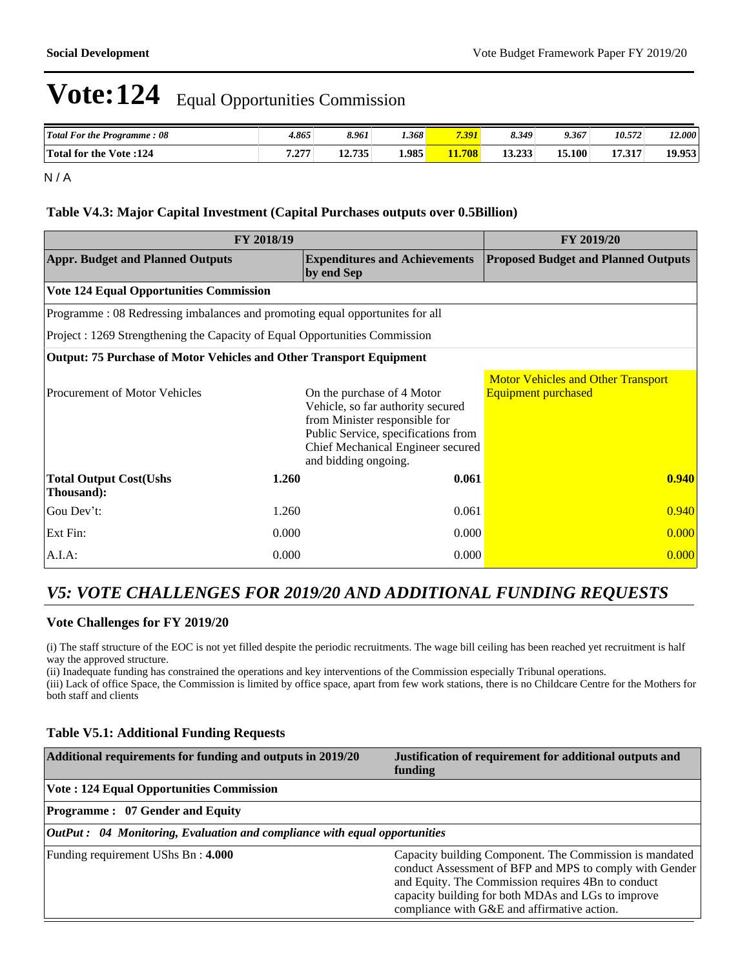| <b>Total For the Programme: 08</b> | 4.865     | 8.961  | 1.368 | 7.391 | 8.349  | 9.367      | 10.572 | $2.000^{\circ}$ |
|------------------------------------|-----------|--------|-------|-------|--------|------------|--------|-----------------|
| <b>Total for the Vote:124</b>      | דירי<br>. | 12.735 | 1.985 | 708   | 13.233 | $15.100^+$ | 17.317 | 19.953          |

 $N/A$ 

### **Table V4.3: Major Capital Investment (Capital Purchases outputs over 0.5Billion)**

|                                                                                | <b>FY 2019/20</b> |                                                                                                                                                                                                      |                                                                         |
|--------------------------------------------------------------------------------|-------------------|------------------------------------------------------------------------------------------------------------------------------------------------------------------------------------------------------|-------------------------------------------------------------------------|
| <b>Appr. Budget and Planned Outputs</b>                                        |                   | <b>Expenditures and Achievements</b><br>by end Sep                                                                                                                                                   | <b>Proposed Budget and Planned Outputs</b>                              |
| <b>Vote 124 Equal Opportunities Commission</b>                                 |                   |                                                                                                                                                                                                      |                                                                         |
| Programme : 08 Redressing imbalances and promoting equal opportunities for all |                   |                                                                                                                                                                                                      |                                                                         |
| Project : 1269 Strengthening the Capacity of Equal Opportunities Commission    |                   |                                                                                                                                                                                                      |                                                                         |
| <b>Output: 75 Purchase of Motor Vehicles and Other Transport Equipment</b>     |                   |                                                                                                                                                                                                      |                                                                         |
| <b>Procurement of Motor Vehicles</b>                                           |                   | On the purchase of 4 Motor<br>Vehicle, so far authority secured<br>from Minister responsible for<br>Public Service, specifications from<br>Chief Mechanical Engineer secured<br>and bidding ongoing. | <b>Motor Vehicles and Other Transport</b><br><b>Equipment purchased</b> |
| <b>Total Output Cost(Ushs</b><br>Thousand):                                    | 1.260             | 0.061                                                                                                                                                                                                | 0.940                                                                   |
| Gou Dev't:                                                                     | 1.260             | 0.061                                                                                                                                                                                                | 0.940                                                                   |
| Ext Fin:                                                                       | 0.000             | 0.000                                                                                                                                                                                                | 0.000                                                                   |
| A.I.A:                                                                         | 0.000             | 0.000                                                                                                                                                                                                | 0.000                                                                   |

### *V5: VOTE CHALLENGES FOR 2019/20 AND ADDITIONAL FUNDING REQUESTS*

### **Vote Challenges for FY 2019/20**

(i) The staff structure of the EOC is not yet filled despite the periodic recruitments. The wage bill ceiling has been reached yet recruitment is half way the approved structure.

(ii) Inadequate funding has constrained the operations and key interventions of the Commission especially Tribunal operations.

(iii) Lack of office Space, the Commission is limited by office space, apart from few work stations, there is no Childcare Centre for the Mothers for both staff and clients

| Additional requirements for funding and outputs in 2019/20                         | Justification of requirement for additional outputs and<br>funding                                                                                                                                                                                                            |  |  |  |  |
|------------------------------------------------------------------------------------|-------------------------------------------------------------------------------------------------------------------------------------------------------------------------------------------------------------------------------------------------------------------------------|--|--|--|--|
| <b>Vote: 124 Equal Opportunities Commission</b>                                    |                                                                                                                                                                                                                                                                               |  |  |  |  |
| <b>Programme: 07 Gender and Equity</b>                                             |                                                                                                                                                                                                                                                                               |  |  |  |  |
| $\vert$ OutPut : 04 Monitoring, Evaluation and compliance with equal opportunities |                                                                                                                                                                                                                                                                               |  |  |  |  |
| Funding requirement UShs Bn: 4.000                                                 | Capacity building Component. The Commission is mandated<br>conduct Assessment of BFP and MPS to comply with Gender<br>and Equity. The Commission requires 4Bn to conduct<br>capacity building for both MDAs and LGs to improve<br>compliance with G&E and affirmative action. |  |  |  |  |

### **Table V5.1: Additional Funding Requests**